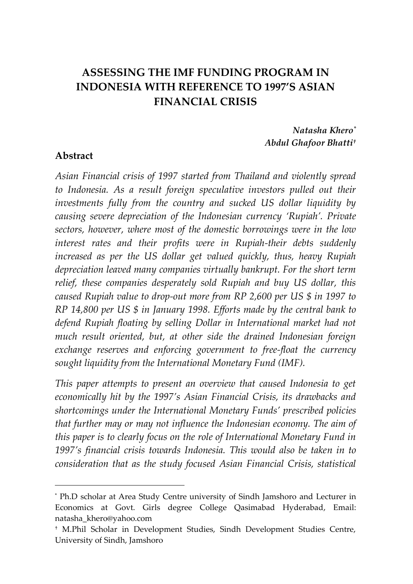# **ASSESSING THE IMF FUNDING PROGRAM IN INDONESIA WITH REFERENCE TO 1997'S ASIAN FINANCIAL CRISIS**

#### *Natasha Khero\* Abdul Ghafoor Bhatti†*

#### **Abstract**

 $\overline{a}$ 

*Asian Financial crisis of 1997 started from Thailand and violently spread to Indonesia. As a result foreign speculative investors pulled out their investments fully from the country and sucked US dollar liquidity by causing severe depreciation of the Indonesian currency 'Rupiah'. Private sectors, however, where most of the domestic borrowings were in the low interest rates and their profits were in Rupiah-their debts suddenly increased as per the US dollar get valued quickly, thus, heavy Rupiah depreciation leaved many companies virtually bankrupt. For the short term relief, these companies desperately sold Rupiah and buy US dollar, this caused Rupiah value to drop-out more from RP 2,600 per US \$ in 1997 to RP 14,800 per US \$ in January 1998. Efforts made by the central bank to defend Rupiah floating by selling Dollar in International market had not much result oriented, but, at other side the drained Indonesian foreign exchange reserves and enforcing government to free-float the currency sought liquidity from the International Monetary Fund (IMF).* 

*This paper attempts to present an overview that caused Indonesia to get economically hit by the 1997's Asian Financial Crisis, its drawbacks and shortcomings under the International Monetary Funds' prescribed policies that further may or may not influence the Indonesian economy. The aim of this paper is to clearly focus on the role of International Monetary Fund in 1997's financial crisis towards Indonesia. This would also be taken in to consideration that as the study focused Asian Financial Crisis, statistical* 

<sup>\*</sup> Ph.D scholar at Area Study Centre university of Sindh Jamshoro and Lecturer in Economics at Govt. Girls degree College Qasimabad Hyderabad, Email: natasha\_khero@yahoo.com

<sup>†</sup> M.Phil Scholar in Development Studies, Sindh Development Studies Centre, University of Sindh, Jamshoro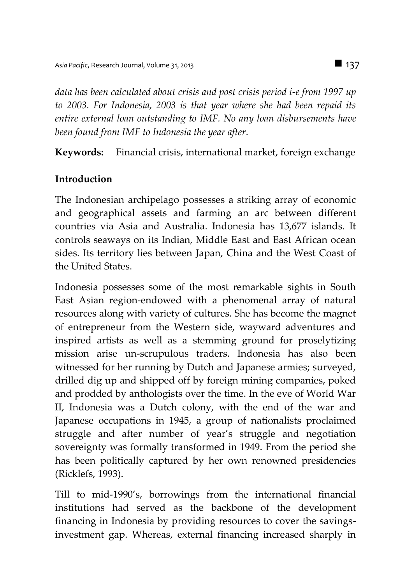*data has been calculated about crisis and post crisis period i-e from 1997 up to 2003. For Indonesia, 2003 is that year where she had been repaid its entire external loan outstanding to IMF. No any loan disbursements have been found from IMF to Indonesia the year after.*

**Keywords:** Financial crisis, international market, foreign exchange

# **Introduction**

The Indonesian archipelago possesses a striking array of economic and geographical assets and farming an arc between different countries via Asia and Australia. Indonesia has 13,677 islands. It controls seaways on its Indian, Middle East and East African ocean sides. Its territory lies between Japan, China and the West Coast of the United States.

Indonesia possesses some of the most remarkable sights in South East Asian region-endowed with a phenomenal array of natural resources along with variety of cultures. She has become the magnet of entrepreneur from the Western side, wayward adventures and inspired artists as well as a stemming ground for proselytizing mission arise un-scrupulous traders. Indonesia has also been witnessed for her running by Dutch and Japanese armies; surveyed, drilled dig up and shipped off by foreign mining companies, poked and prodded by anthologists over the time. In the eve of World War II, Indonesia was a Dutch colony, with the end of the war and Japanese occupations in 1945, a group of nationalists proclaimed struggle and after number of year's struggle and negotiation sovereignty was formally transformed in 1949. From the period she has been politically captured by her own renowned presidencies (Ricklefs, 1993).

Till to mid-1990's, borrowings from the international financial institutions had served as the backbone of the development financing in Indonesia by providing resources to cover the savingsinvestment gap. Whereas, external financing increased sharply in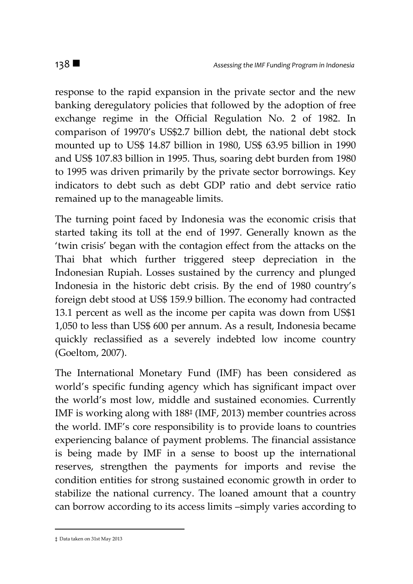response to the rapid expansion in the private sector and the new banking deregulatory policies that followed by the adoption of free exchange regime in the Official Regulation No. 2 of 1982. In comparison of 19970's US\$2.7 billion debt, the national debt stock mounted up to US\$ 14.87 billion in 1980, US\$ 63.95 billion in 1990 and US\$ 107.83 billion in 1995. Thus, soaring debt burden from 1980 to 1995 was driven primarily by the private sector borrowings. Key indicators to debt such as debt GDP ratio and debt service ratio remained up to the manageable limits.

The turning point faced by Indonesia was the economic crisis that started taking its toll at the end of 1997. Generally known as the 'twin crisis' began with the contagion effect from the attacks on the Thai bhat which further triggered steep depreciation in the Indonesian Rupiah. Losses sustained by the currency and plunged Indonesia in the historic debt crisis. By the end of 1980 country's foreign debt stood at US\$ 159.9 billion. The economy had contracted 13.1 percent as well as the income per capita was down from US\$1 1,050 to less than US\$ 600 per annum. As a result, Indonesia became quickly reclassified as a severely indebted low income country (Goeltom, 2007).

The International Monetary Fund (IMF) has been considered as world's specific funding agency which has significant impact over the world's most low, middle and sustained economies. Currently IMF is working along with 188‡ (IMF, 2013) member countries across the world. IMF's core responsibility is to provide loans to countries experiencing balance of payment problems. The financial assistance is being made by IMF in a sense to boost up the international reserves, strengthen the payments for imports and revise the condition entities for strong sustained economic growth in order to stabilize the national currency. The loaned amount that a country can borrow according to its access limits –simply varies according to

 $\overline{a}$ 

<sup>‡</sup> Data taken on 31st May 2013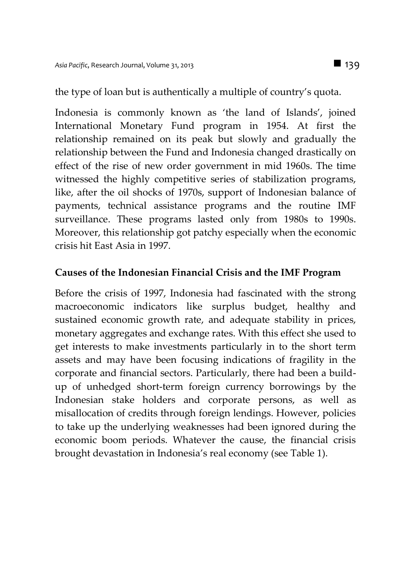the type of loan but is authentically a multiple of country's quota.

Indonesia is commonly known as 'the land of Islands', joined International Monetary Fund program in 1954. At first the relationship remained on its peak but slowly and gradually the relationship between the Fund and Indonesia changed drastically on effect of the rise of new order government in mid 1960s. The time witnessed the highly competitive series of stabilization programs, like, after the oil shocks of 1970s, support of Indonesian balance of payments, technical assistance programs and the routine IMF surveillance. These programs lasted only from 1980s to 1990s. Moreover, this relationship got patchy especially when the economic crisis hit East Asia in 1997.

### **Causes of the Indonesian Financial Crisis and the IMF Program**

Before the crisis of 1997, Indonesia had fascinated with the strong macroeconomic indicators like surplus budget, healthy and sustained economic growth rate, and adequate stability in prices, monetary aggregates and exchange rates. With this effect she used to get interests to make investments particularly in to the short term assets and may have been focusing indications of fragility in the corporate and financial sectors. Particularly, there had been a buildup of unhedged short-term foreign currency borrowings by the Indonesian stake holders and corporate persons, as well as misallocation of credits through foreign lendings. However, policies to take up the underlying weaknesses had been ignored during the economic boom periods. Whatever the cause, the financial crisis brought devastation in Indonesia's real economy (see Table 1).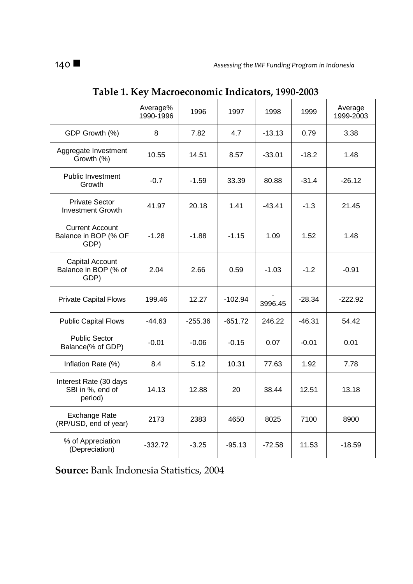|                                                        | Average%<br>1990-1996 | 1996      | 1997      | 1998     | 1999     | Average<br>1999-2003 |
|--------------------------------------------------------|-----------------------|-----------|-----------|----------|----------|----------------------|
| GDP Growth (%)                                         | 8                     | 7.82      | 4.7       | $-13.13$ | 0.79     | 3.38                 |
| Aggregate Investment<br>Growth (%)                     | 10.55                 | 14.51     | 8.57      | $-33.01$ | $-18.2$  | 1.48                 |
| <b>Public Investment</b><br>Growth                     | $-0.7$                | $-1.59$   | 33.39     | 80.88    | $-31.4$  | $-26.12$             |
| <b>Private Sector</b><br><b>Investment Growth</b>      | 41.97                 | 20.18     | 1.41      | $-43.41$ | $-1.3$   | 21.45                |
| <b>Current Account</b><br>Balance in BOP (% OF<br>GDP) | $-1.28$               | $-1.88$   | $-1.15$   | 1.09     | 1.52     | 1.48                 |
| Capital Account<br>Balance in BOP (% of<br>GDP)        | 2.04                  | 2.66      | 0.59      | $-1.03$  | $-1.2$   | $-0.91$              |
| <b>Private Capital Flows</b>                           | 199.46                | 12.27     | $-102.94$ | 3996.45  | $-28.34$ | $-222.92$            |
| <b>Public Capital Flows</b>                            | -44.63                | $-255.36$ | $-651.72$ | 246.22   | $-46.31$ | 54.42                |
| <b>Public Sector</b><br>Balance(% of GDP)              | $-0.01$               | $-0.06$   | $-0.15$   | 0.07     | $-0.01$  | 0.01                 |
| Inflation Rate (%)                                     | 8.4                   | 5.12      | 10.31     | 77.63    | 1.92     | 7.78                 |
| Interest Rate (30 days<br>SBI in %, end of<br>period)  | 14.13                 | 12.88     | 20        | 38.44    | 12.51    | 13.18                |
| Exchange Rate<br>(RP/USD, end of year)                 | 2173                  | 2383      | 4650      | 8025     | 7100     | 8900                 |
| % of Appreciation<br>(Depreciation)                    | $-332.72$             | $-3.25$   | $-95.13$  | $-72.58$ | 11.53    | $-18.59$             |

# **Table 1. Key Macroeconomic Indicators, 1990-2003**

**Source:** Bank Indonesia Statistics, 2004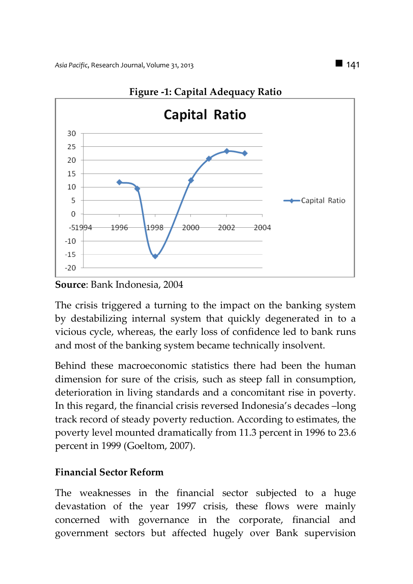

#### **Figure -1: Capital Adequacy Ratio**

**Source**: Bank Indonesia, 2004

The crisis triggered a turning to the impact on the banking system by destabilizing internal system that quickly degenerated in to a vicious cycle, whereas, the early loss of confidence led to bank runs and most of the banking system became technically insolvent.

Behind these macroeconomic statistics there had been the human dimension for sure of the crisis, such as steep fall in consumption, deterioration in living standards and a concomitant rise in poverty. In this regard, the financial crisis reversed Indonesia's decades –long track record of steady poverty reduction. According to estimates, the poverty level mounted dramatically from 11.3 percent in 1996 to 23.6 percent in 1999 (Goeltom, 2007).

### **Financial Sector Reform**

The weaknesses in the financial sector subjected to a huge devastation of the year 1997 crisis, these flows were mainly concerned with governance in the corporate, financial and government sectors but affected hugely over Bank supervision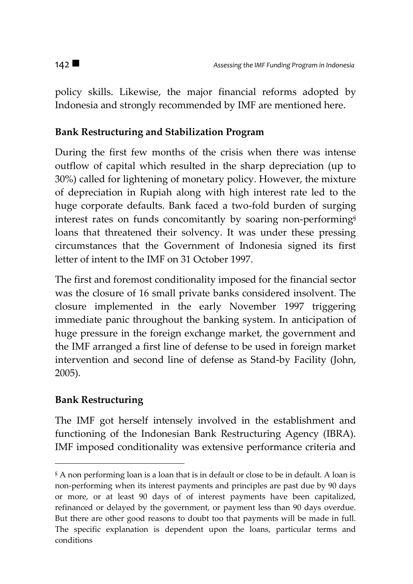policy skills. Likewise, the major financial reforms adopted by Indonesia and strongly recommended by IMF are mentioned here.

# **Bank Restructuring and Stabilization Program**

During the first few months of the crisis when there was intense outflow of capital which resulted in the sharp depreciation (up to 30%) called for lightening of monetary policy. However, the mixture of depreciation in Rupiah along with high interest rate led to the huge corporate defaults. Bank faced a two-fold burden of surging interest rates on funds concomitantly by soaring non-performing§ loans that threatened their solvency. It was under these pressing circumstances that the Government of Indonesia signed its first letter of intent to the IMF on 31 October 1997.

The first and foremost conditionality imposed for the financial sector was the closure of 16 small private banks considered insolvent. The closure implemented in the early November 1997 triggering immediate panic throughout the banking system. In anticipation of huge pressure in the foreign exchange market, the government and the IMF arranged a first line of defense to be used in foreign market intervention and second line of defense as Stand-by Facility (John, 2005).

# **Bank Restructuring**

 $\overline{a}$ 

The IMF got herself intensely involved in the establishment and functioning of the Indonesian Bank Restructuring Agency (IBRA). IMF imposed conditionality was extensive performance criteria and

<sup>§</sup> A non performing loan is a loan that is in default or close to be in default. A loan is non-performing when its interest payments and principles are past due by 90 days or more, or at least 90 days of of interest payments have been capitalized, refinanced or delayed by the government, or payment less than 90 days overdue. But there are other good reasons to doubt too that payments will be made in full. The specific explanation is dependent upon the loans, particular terms and conditions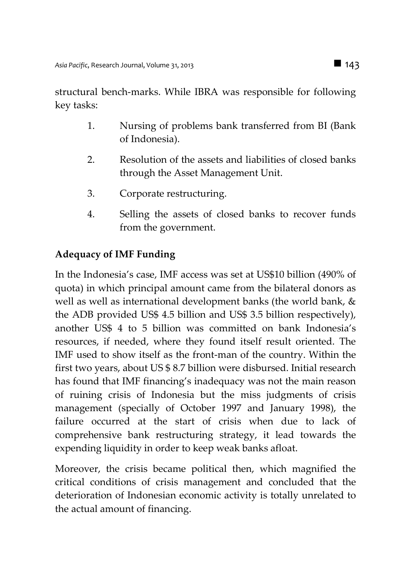structural bench-marks. While IBRA was responsible for following key tasks:

- 1. Nursing of problems bank transferred from BI (Bank of Indonesia).
- 2. Resolution of the assets and liabilities of closed banks through the Asset Management Unit.
- 3. Corporate restructuring.
- 4. Selling the assets of closed banks to recover funds from the government.

# **Adequacy of IMF Funding**

In the Indonesia's case, IMF access was set at US\$10 billion (490% of quota) in which principal amount came from the bilateral donors as well as well as international development banks (the world bank, & the ADB provided US\$ 4.5 billion and US\$ 3.5 billion respectively), another US\$ 4 to 5 billion was committed on bank Indonesia's resources, if needed, where they found itself result oriented. The IMF used to show itself as the front-man of the country. Within the first two years, about US \$ 8.7 billion were disbursed. Initial research has found that IMF financing's inadequacy was not the main reason of ruining crisis of Indonesia but the miss judgments of crisis management (specially of October 1997 and January 1998), the failure occurred at the start of crisis when due to lack of comprehensive bank restructuring strategy, it lead towards the expending liquidity in order to keep weak banks afloat.

Moreover, the crisis became political then, which magnified the critical conditions of crisis management and concluded that the deterioration of Indonesian economic activity is totally unrelated to the actual amount of financing.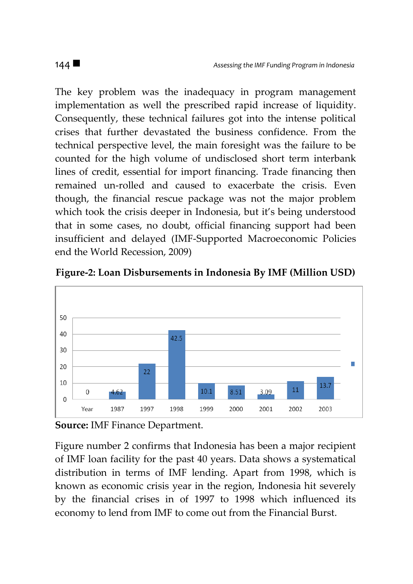The key problem was the inadequacy in program management implementation as well the prescribed rapid increase of liquidity. Consequently, these technical failures got into the intense political crises that further devastated the business confidence. From the technical perspective level, the main foresight was the failure to be counted for the high volume of undisclosed short term interbank lines of credit, essential for import financing. Trade financing then remained un-rolled and caused to exacerbate the crisis. Even though, the financial rescue package was not the major problem which took the crisis deeper in Indonesia, but it's being understood that in some cases, no doubt, official financing support had been insufficient and delayed (IMF-Supported Macroeconomic Policies end the World Recession, 2009)





**Source:** IMF Finance Department.

Figure number 2 confirms that Indonesia has been a major recipient of IMF loan facility for the past 40 years. Data shows a systematical distribution in terms of IMF lending. Apart from 1998, which is known as economic crisis year in the region, Indonesia hit severely by the financial crises in of 1997 to 1998 which influenced its economy to lend from IMF to come out from the Financial Burst.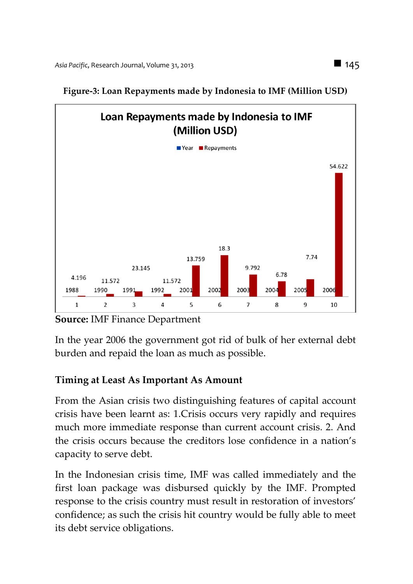

**Figure-3: Loan Repayments made by Indonesia to IMF (Million USD)**

**Source:** IMF Finance Department

In the year 2006 the government got rid of bulk of her external debt burden and repaid the loan as much as possible.

# **Timing at Least As Important As Amount**

From the Asian crisis two distinguishing features of capital account crisis have been learnt as: 1.Crisis occurs very rapidly and requires much more immediate response than current account crisis. 2. And the crisis occurs because the creditors lose confidence in a nation's capacity to serve debt.

In the Indonesian crisis time, IMF was called immediately and the first loan package was disbursed quickly by the IMF. Prompted response to the crisis country must result in restoration of investors' confidence; as such the crisis hit country would be fully able to meet its debt service obligations.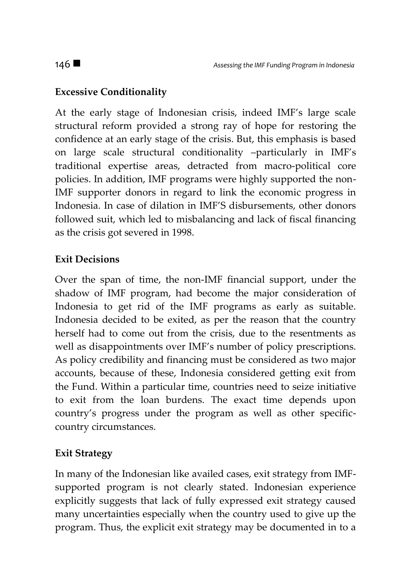# **Excessive Conditionality**

At the early stage of Indonesian crisis, indeed IMF's large scale structural reform provided a strong ray of hope for restoring the confidence at an early stage of the crisis. But, this emphasis is based on large scale structural conditionality –particularly in IMF's traditional expertise areas, detracted from macro-political core policies. In addition, IMF programs were highly supported the non-IMF supporter donors in regard to link the economic progress in Indonesia. In case of dilation in IMF'S disbursements, other donors followed suit, which led to misbalancing and lack of fiscal financing as the crisis got severed in 1998.

## **Exit Decisions**

Over the span of time, the non-IMF financial support, under the shadow of IMF program, had become the major consideration of Indonesia to get rid of the IMF programs as early as suitable. Indonesia decided to be exited, as per the reason that the country herself had to come out from the crisis, due to the resentments as well as disappointments over IMF's number of policy prescriptions. As policy credibility and financing must be considered as two major accounts, because of these, Indonesia considered getting exit from the Fund. Within a particular time, countries need to seize initiative to exit from the loan burdens. The exact time depends upon country's progress under the program as well as other specificcountry circumstances.

### **Exit Strategy**

In many of the Indonesian like availed cases, exit strategy from IMFsupported program is not clearly stated. Indonesian experience explicitly suggests that lack of fully expressed exit strategy caused many uncertainties especially when the country used to give up the program. Thus, the explicit exit strategy may be documented in to a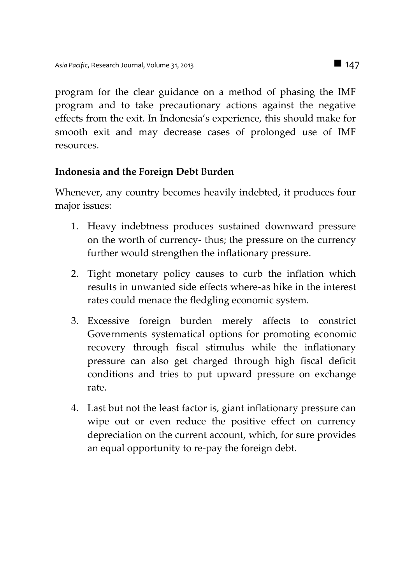program for the clear guidance on a method of phasing the IMF program and to take precautionary actions against the negative effects from the exit. In Indonesia's experience, this should make for smooth exit and may decrease cases of prolonged use of IMF resources.

## **Indonesia and the Foreign Debt** B**urden**

Whenever, any country becomes heavily indebted, it produces four major issues:

- 1. Heavy indebtness produces sustained downward pressure on the worth of currency- thus; the pressure on the currency further would strengthen the inflationary pressure.
- 2. Tight monetary policy causes to curb the inflation which results in unwanted side effects where-as hike in the interest rates could menace the fledgling economic system.
- 3. Excessive foreign burden merely affects to constrict Governments systematical options for promoting economic recovery through fiscal stimulus while the inflationary pressure can also get charged through high fiscal deficit conditions and tries to put upward pressure on exchange rate.
- 4. Last but not the least factor is, giant inflationary pressure can wipe out or even reduce the positive effect on currency depreciation on the current account, which, for sure provides an equal opportunity to re-pay the foreign debt.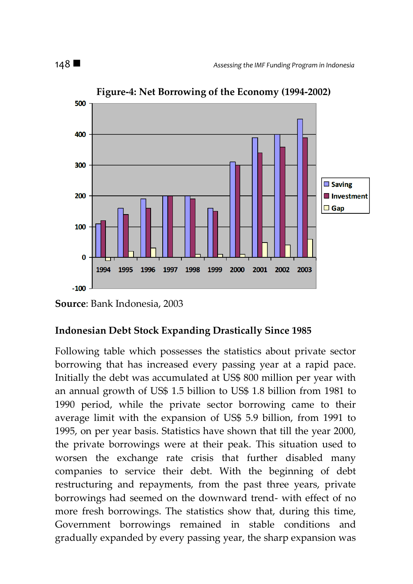

**Figure-4: Net Borrowing of the Economy (1994-2002)**

# **Indonesian Debt Stock Expanding Drastically Since 1985**

Following table which possesses the statistics about private sector borrowing that has increased every passing year at a rapid pace. Initially the debt was accumulated at US\$ 800 million per year with an annual growth of US\$ 1.5 billion to US\$ 1.8 billion from 1981 to 1990 period, while the private sector borrowing came to their average limit with the expansion of US\$ 5.9 billion, from 1991 to 1995, on per year basis. Statistics have shown that till the year 2000, the private borrowings were at their peak. This situation used to worsen the exchange rate crisis that further disabled many companies to service their debt. With the beginning of debt restructuring and repayments, from the past three years, private borrowings had seemed on the downward trend- with effect of no more fresh borrowings. The statistics show that, during this time, Government borrowings remained in stable conditions and gradually expanded by every passing year, the sharp expansion was

**Source**: Bank Indonesia, 2003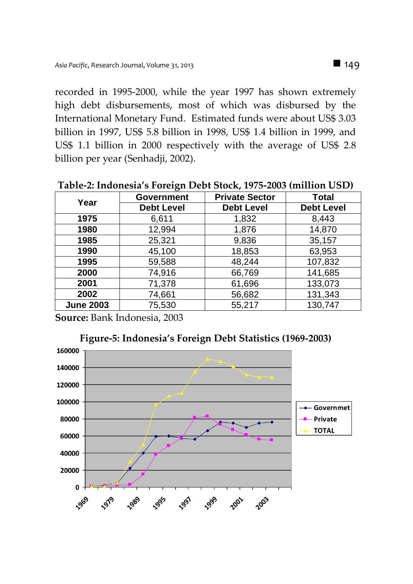recorded in 1995-2000, while the year 1997 has shown extremely high debt disbursements, most of which was disbursed by the International Monetary Fund. Estimated funds were about US\$ 3.03 billion in 1997, US\$ 5.8 billion in 1998, US\$ 1.4 billion in 1999, and US\$ 1.1 billion in 2000 respectively with the average of US\$ 2.8 billion per year (Senhadji, 2002).

| Year             | <b>Government</b> | <b>Private Sector</b> | <b>Total</b>      |  |
|------------------|-------------------|-----------------------|-------------------|--|
|                  | <b>Debt Level</b> | <b>Debt Level</b>     | <b>Debt Level</b> |  |
| 1975             | 6,611             | 1,832                 | 8,443             |  |
| 1980             | 12,994            | 1,876                 | 14,870            |  |
| 1985             | 25,321            | 9,836                 | 35,157            |  |
| 1990             | 45,100            | 18,853                | 63,953            |  |
| 1995             | 59,588            | 48,244                | 107,832           |  |
| 2000             | 74,916            | 66,769                | 141,685           |  |
| 2001             | 71,378            | 61,696                | 133,073           |  |
| 2002             | 74,661            | 56,682                | 131,343           |  |
| <b>June 2003</b> | 75,530            | 55,217                | 130,747           |  |

**Table-2: Indonesia's Foreign Debt Stock, 1975-2003 (million USD)**

**Source:** Bank Indonesia, 2003

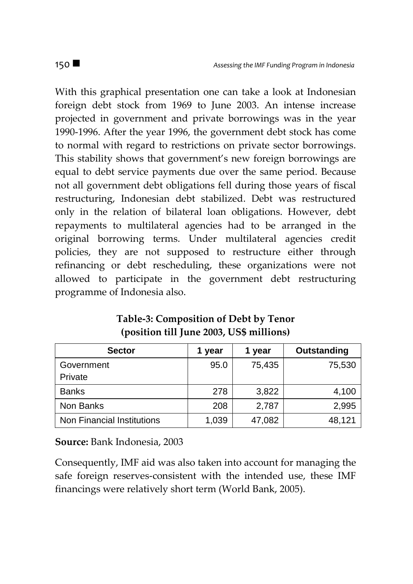With this graphical presentation one can take a look at Indonesian foreign debt stock from 1969 to June 2003. An intense increase projected in government and private borrowings was in the year 1990-1996. After the year 1996, the government debt stock has come to normal with regard to restrictions on private sector borrowings. This stability shows that government's new foreign borrowings are equal to debt service payments due over the same period. Because not all government debt obligations fell during those years of fiscal restructuring, Indonesian debt stabilized. Debt was restructured only in the relation of bilateral loan obligations. However, debt repayments to multilateral agencies had to be arranged in the original borrowing terms. Under multilateral agencies credit policies, they are not supposed to restructure either through refinancing or debt rescheduling, these organizations were not allowed to participate in the government debt restructuring programme of Indonesia also.

| <b>Sector</b>              | 1 year | 1 year | Outstanding |
|----------------------------|--------|--------|-------------|
| Government                 | 95.0   | 75,435 | 75,530      |
| Private                    |        |        |             |
| <b>Banks</b>               | 278    | 3,822  | 4,100       |
| Non Banks                  | 208    | 2,787  | 2,995       |
| Non Financial Institutions | 1,039  | 47,082 | 48.121      |

**Table-3: Composition of Debt by Tenor (position till June 2003, US\$ millions)**

**Source:** Bank Indonesia, 2003

Consequently, IMF aid was also taken into account for managing the safe foreign reserves-consistent with the intended use, these IMF financings were relatively short term (World Bank, 2005).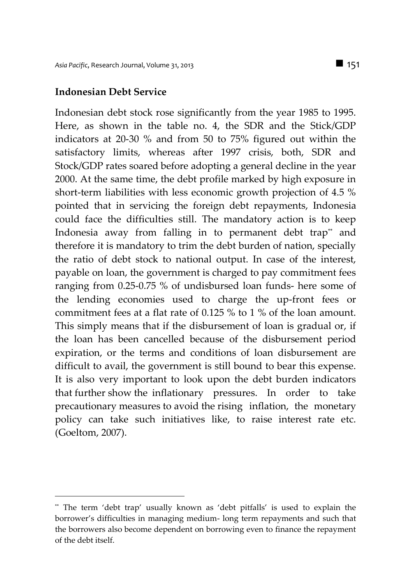#### **Indonesian Debt Service**

 $\overline{a}$ 

Indonesian debt stock rose significantly from the year 1985 to 1995. Here, as shown in the table no. 4, the SDR and the Stick/GDP indicators at 20-30 % and from 50 to 75% figured out within the satisfactory limits, whereas after 1997 crisis, both, SDR and Stock/GDP rates soared before adopting a general decline in the year 2000. At the same time, the debt profile marked by high exposure in short-term liabilities with less economic growth projection of 4.5 % pointed that in servicing the foreign debt repayments, Indonesia could face the difficulties still. The mandatory action is to keep Indonesia away from falling in to permanent debt trap<sup>\*\*</sup> and therefore it is mandatory to trim the debt burden of nation, specially the ratio of debt stock to national output. In case of the interest, payable on loan, the government is charged to pay commitment fees ranging from 0.25-0.75 % of undisbursed loan funds- here some of the lending economies used to charge the up-front fees or commitment fees at a flat rate of 0.125 % to 1 % of the loan amount. This simply means that if the disbursement of loan is gradual or, if the loan has been cancelled because of the disbursement period expiration, or the terms and conditions of loan disbursement are difficult to avail, the government is still bound to bear this expense. It is also very important to look upon the debt burden indicators that further show the inflationary pressures. In order to take precautionary measures to avoid the rising inflation, the monetary policy can take such initiatives like, to raise interest rate etc. (Goeltom, 2007).

<sup>\*\*</sup> The term 'debt trap' usually known as 'debt pitfalls' is used to explain the borrower's difficulties in managing medium- long term repayments and such that the borrowers also become dependent on borrowing even to finance the repayment of the debt itself.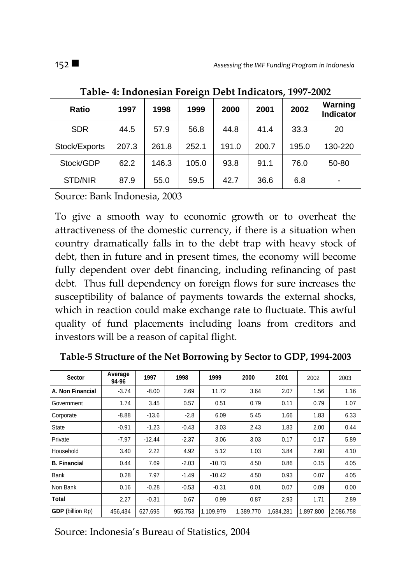| <b>Ratio</b>  | 1997  | 1998  | 1999  | 2000  | 2001  | 2002  | Warning<br><b>Indicator</b> |
|---------------|-------|-------|-------|-------|-------|-------|-----------------------------|
| <b>SDR</b>    | 44.5  | 57.9  | 56.8  | 44.8  | 41.4  | 33.3  | 20                          |
| Stock/Exports | 207.3 | 261.8 | 252.1 | 191.0 | 200.7 | 195.0 | 130-220                     |
| Stock/GDP     | 62.2  | 146.3 | 105.0 | 93.8  | 91.1  | 76.0  | 50-80                       |
| STD/NIR       | 87.9  | 55.0  | 59.5  | 42.7  | 36.6  | 6.8   |                             |

**Table- 4: Indonesian Foreign Debt Indicators, 1997-2002**

Source: Bank Indonesia, 2003

To give a smooth way to economic growth or to overheat the attractiveness of the domestic currency, if there is a situation when country dramatically falls in to the debt trap with heavy stock of debt, then in future and in present times, the economy will become fully dependent over debt financing, including refinancing of past debt. Thus full dependency on foreign flows for sure increases the susceptibility of balance of payments towards the external shocks, which in reaction could make exchange rate to fluctuate. This awful quality of fund placements including loans from creditors and investors will be a reason of capital flight.

| Sector                  | Average<br>94-96 | 1997     | 1998    | 1999      | 2000      | 2001      | 2002      | 2003      |
|-------------------------|------------------|----------|---------|-----------|-----------|-----------|-----------|-----------|
| A. Non Financial        | $-3.74$          | $-8.00$  | 2.69    | 11.72     | 3.64      | 2.07      | 1.56      | 1.16      |
| Government              | 1.74             | 3.45     | 0.57    | 0.51      | 0.79      | 0.11      | 0.79      | 1.07      |
| Corporate               | $-8.88$          | $-13.6$  | $-2.8$  | 6.09      | 5.45      | 1.66      | 1.83      | 6.33      |
| <b>State</b>            | $-0.91$          | $-1.23$  | $-0.43$ | 3.03      | 2.43      | 1.83      | 2.00      | 0.44      |
| Private                 | $-7.97$          | $-12.44$ | $-2.37$ | 3.06      | 3.03      | 0.17      | 0.17      | 5.89      |
| Household               | 3.40             | 2.22     | 4.92    | 5.12      | 1.03      | 3.84      | 2.60      | 4.10      |
| <b>B.</b> Financial     | 0.44             | 7.69     | $-2.03$ | $-10.73$  | 4.50      | 0.86      | 0.15      | 4.05      |
| Bank                    | 0.28             | 7.97     | $-1.49$ | $-10.42$  | 4.50      | 0.93      | 0.07      | 4.05      |
| Non Bank                | 0.16             | $-0.28$  | $-0.53$ | $-0.31$   | 0.01      | 0.07      | 0.09      | 0.00      |
| <b>Total</b>            | 2.27             | $-0.31$  | 0.67    | 0.99      | 0.87      | 2.93      | 1.71      | 2.89      |
| <b>GDP</b> (billion Rp) | 456.434          | 627,695  | 955.753 | 1.109.979 | 1,389,770 | 1.684.281 | 1.897.800 | 2.086.758 |

**Table-5 Structure of the Net Borrowing by Sector to GDP, 1994-2003**

Source: Indonesia's Bureau of Statistics, 2004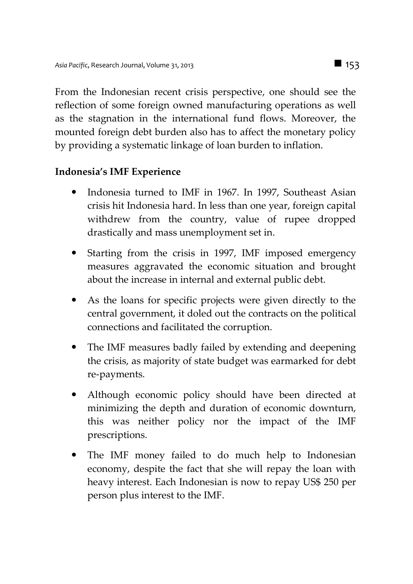From the Indonesian recent crisis perspective, one should see the reflection of some foreign owned manufacturing operations as well as the stagnation in the international fund flows. Moreover, the mounted foreign debt burden also has to affect the monetary policy by providing a systematic linkage of loan burden to inflation.

#### **Indonesia's IMF Experience**

- Indonesia turned to IMF in 1967. In 1997, Southeast Asian crisis hit Indonesia hard. In less than one year, foreign capital withdrew from the country, value of rupee dropped drastically and mass unemployment set in.
- Starting from the crisis in 1997, IMF imposed emergency measures aggravated the economic situation and brought about the increase in internal and external public debt.
- As the loans for specific projects were given directly to the central government, it doled out the contracts on the political connections and facilitated the corruption.
- The IMF measures badly failed by extending and deepening the crisis, as majority of state budget was earmarked for debt re-payments.
- Although economic policy should have been directed at minimizing the depth and duration of economic downturn, this was neither policy nor the impact of the IMF prescriptions.
- The IMF money failed to do much help to Indonesian economy, despite the fact that she will repay the loan with heavy interest. Each Indonesian is now to repay US\$ 250 per person plus interest to the IMF.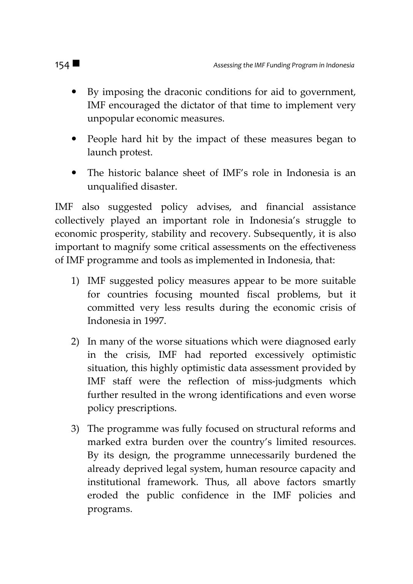- By imposing the draconic conditions for aid to government, IMF encouraged the dictator of that time to implement very unpopular economic measures.
- People hard hit by the impact of these measures began to launch protest.
- The historic balance sheet of IMF's role in Indonesia is an unqualified disaster.

IMF also suggested policy advises, and financial assistance collectively played an important role in Indonesia's struggle to economic prosperity, stability and recovery. Subsequently, it is also important to magnify some critical assessments on the effectiveness of IMF programme and tools as implemented in Indonesia, that:

- 1) IMF suggested policy measures appear to be more suitable for countries focusing mounted fiscal problems, but it committed very less results during the economic crisis of Indonesia in 1997.
- 2) In many of the worse situations which were diagnosed early in the crisis, IMF had reported excessively optimistic situation, this highly optimistic data assessment provided by IMF staff were the reflection of miss-judgments which further resulted in the wrong identifications and even worse policy prescriptions.
- 3) The programme was fully focused on structural reforms and marked extra burden over the country's limited resources. By its design, the programme unnecessarily burdened the already deprived legal system, human resource capacity and institutional framework. Thus, all above factors smartly eroded the public confidence in the IMF policies and programs.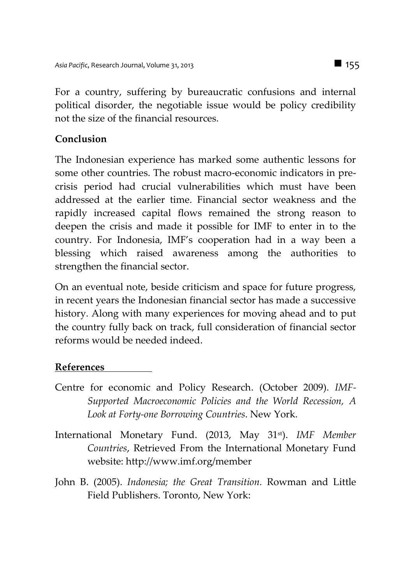For a country, suffering by bureaucratic confusions and internal political disorder, the negotiable issue would be policy credibility not the size of the financial resources.

## **Conclusion**

The Indonesian experience has marked some authentic lessons for some other countries. The robust macro-economic indicators in precrisis period had crucial vulnerabilities which must have been addressed at the earlier time. Financial sector weakness and the rapidly increased capital flows remained the strong reason to deepen the crisis and made it possible for IMF to enter in to the country. For Indonesia, IMF's cooperation had in a way been a blessing which raised awareness among the authorities to strengthen the financial sector.

On an eventual note, beside criticism and space for future progress, in recent years the Indonesian financial sector has made a successive history. Along with many experiences for moving ahead and to put the country fully back on track, full consideration of financial sector reforms would be needed indeed.

### **References**

- Centre for economic and Policy Research. (October 2009). *IMF-Supported Macroeconomic Policies and the World Recession, A Look at Forty-one Borrowing Countries*. New York.
- International Monetary Fund. (2013, May 31st). *IMF Member Countries*, Retrieved From the International Monetary Fund website: http://www.imf.org/member
- John B. (2005). *Indonesia; the Great Transition.* Rowman and Little Field Publishers. Toronto, New York: